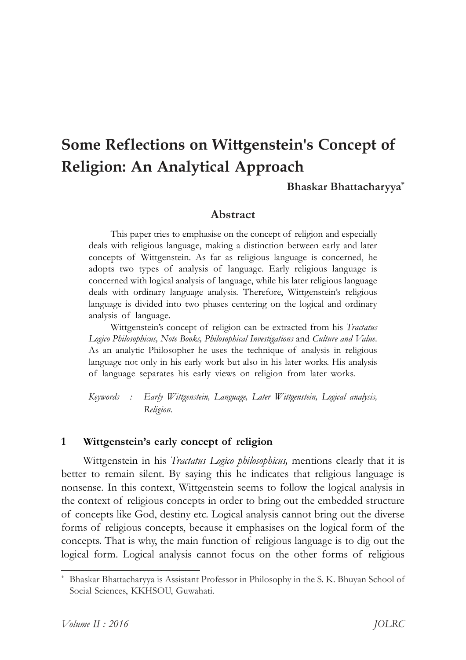# **Some Reflections on Wittgenstein's Concept of Religion: An Analytical Approach**

## **Bhaskar†Bhattacharyya\***

## **Abstract**

This paper tries to emphasise on the concept of religion and especially deals with religious language, making a distinction between early and later concepts of Wittgenstein. As far as religious language is concerned, he adopts two types of analysis of language. Early religious language is concerned with logical analysis of language, while his later religious language deals with ordinary language analysis. Therefore, Wittgenstein's religious language is divided into two phases centering on the logical and ordinary analysis of language.

Wittgenstein's concept of religion can be extracted from his *Tractatus Logico†Philosophicus,†Note†Books,†Philosophical†Investigations*†and†*Culture†and†Value*. As an analytic Philosopher he uses the technique of analysis in religious language not only in his early work but also in his later works. His analysis of language separates his early views on religion from later works.

*Keywords : Early† Wittgenstein,† Language,† Later† Wittgenstein,† Logical† analysis, Religion.*

#### 1 Wittgenstein's early concept of religion

Wittgenstein in his *Tractatus* Logico *philosophicus*, mentions clearly that it is better to remain silent. By saying this he indicates that religious language is nonsense. In this context, Wittgenstein seems to follow the logical analysis in the context of religious concepts in order to bring out the embedded structure of †concepts†like†God,†destiny†etc.†Logical†analysis†cannot†bring†out†the†diverse forms of religious concepts, because it emphasises on the logical form of the concepts. That is why, the main function of religious language is to dig out the logical form. Logical analysis cannot focus on the other forms of religious

Bhaskar Bhattacharyya is Assistant Professor in Philosophy in the S. K. Bhuyan School of Social Sciences, KKHSOU, Guwahati.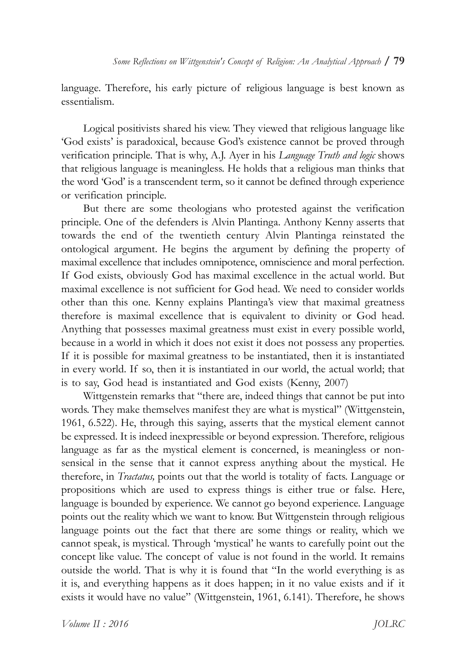language. Therefore, his early picture of religious language is best known as essentialism.

Logical positivists shared his view. They viewed that religious language like ëGod†existsí†is†paradoxical,†because†Godís†existence†cannot†be†proved†through verification principle. That is why, A.J. Ayer in his *Language Truth and logic* shows that religious language is meaningless. He holds that a religious man thinks that the word 'God' is a transcendent term, so it cannot be defined through experience or verification principle.

But there are some theologians who protested against the verification principle. One of the defenders is Alvin Plantinga. Anthony Kenny asserts that towards the end of the twentieth century Alvin Plantinga reinstated the ontological argument. He begins the argument by defining the property of maximal excellence that includes omnipotence, omniscience and moral perfection. If God exists, obviously God has maximal excellence in the actual world. But maximal excellence is not sufficient for God head. We need to consider worlds other than this one. Kenny explains Plantinga's view that maximal greatness therefore is maximal excellence that is equivalent to divinity or God head. Anything that possesses maximal greatness must exist in every possible world, because in a world in which it does not exist it does not possess any properties. If it is possible for maximal greatness to be instantiated, then it is instantiated in every world. If so, then it is instantiated in our world, the actual world; that is to say, God head is instantiated and God exists (Kenny,  $2007$ )

Wittgenstein remarks that "there are, indeed things that cannot be put into words. They make themselves manifest they are what is mystical" (Wittgenstein, 1961, 6.522). He, through this saying, asserts that the mystical element cannot be expressed. It is indeed inexpressible or beyond expression. Therefore, religious language as far as the mystical element is concerned, is meaningless or nonsensical in the sense that it cannot express anything about the mystical. He therefore, in *Tractatus*, points out that the world is totality of facts. Language or propositions which are used to express things is either true or false. Here, language is bounded by experience. We cannot go beyond experience. Language points out the reality which we want to know. But Wittgenstein through religious language points out the fact that there are some things or reality, which we cannot speak, is mystical. Through 'mystical' he wants to carefully point out the concept like value. The concept of value is not found in the world. It remains outside the world. That is why it is found that "In the world everything is as it is, and everything happens as it does happen; in it no value exists and if it exists it would have no value" (Wittgenstein, 1961, 6.141). Therefore, he shows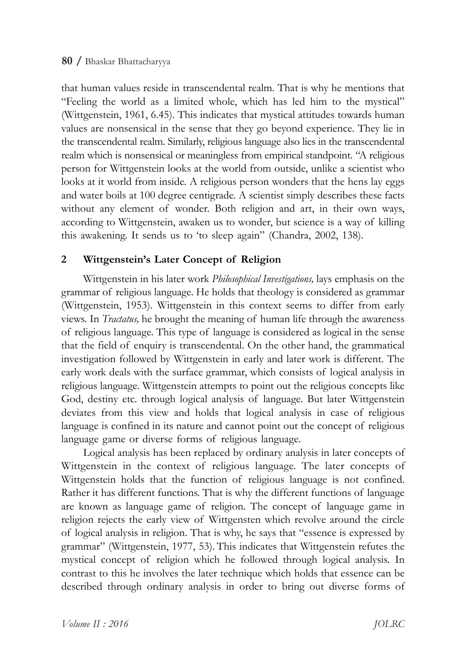that human values reside in transcendental realm. That is why he mentions that ìFeeling† the† world† as† a† limited† whole,† which† has† led† him† to† the† mysticalî (Wittgenstein, 1961, 6.45). This indicates that mystical attitudes towards human values are nonsensical in the sense that they go beyond experience. They lie in the transcendental realm. Similarly, religious language also lies in the transcendental realm which is nonsensical or meaningless from empirical standpoint. "A religious person for Wittgenstein looks at the world from outside, unlike a scientist who looks at it world from inside. A religious person wonders that the hens lay eggs and water boils at 100 degree centigrade. A scientist simply describes these facts without any element of wonder. Both religion and art, in their own ways, according to Wittgenstein, awaken us to wonder, but science is a way of killing this awakening. It sends us to 'to sleep again'' (Chandra, 2002, 138).

# 2 Wittgenstein's Later Concept of Religion

Wittgenstein in his later work *Philosophical Investigations*, lays emphasis on the grammar of religious language. He holds that theology is considered as grammar (Wittgenstein, 1953). Wittgenstein in this context seems to differ from early views. In *Tractatus*, he brought the meaning of human life through the awareness of religious language. This type of language is considered as logical in the sense that the field of enquiry is transcendental. On the other hand, the grammatical investigation followed by Wittgenstein in early and later work is different. The early work deals with the surface grammar, which consists of logical analysis in religious language. Wittgenstein attempts to point out the religious concepts like God, destiny etc. through logical analysis of language. But later Wittgenstein deviates from this view and holds that logical analysis in case of religious language is confined in its nature and cannot point out the concept of religious language game or diverse forms of religious language.

Logical analysis has been replaced by ordinary analysis in later concepts of Wittgenstein in the context of religious language. The later concepts of Wittgenstein holds that the function of religious language is not confined. Rather it has different functions. That is why the different functions of language are known as language game of religion. The concept of language game in religion rejects the early view of Wittgensten which revolve around the circle of logical analysis in religion. That is why, he says that "essence is expressed by grammar" (Wittgenstein, 1977, 53). This indicates that Wittgenstein refutes the mystical concept of religion which he followed through logical analysis. In contrast to this he involves the later technique which holds that essence can be described through ordinary analysis in order to bring out diverse forms of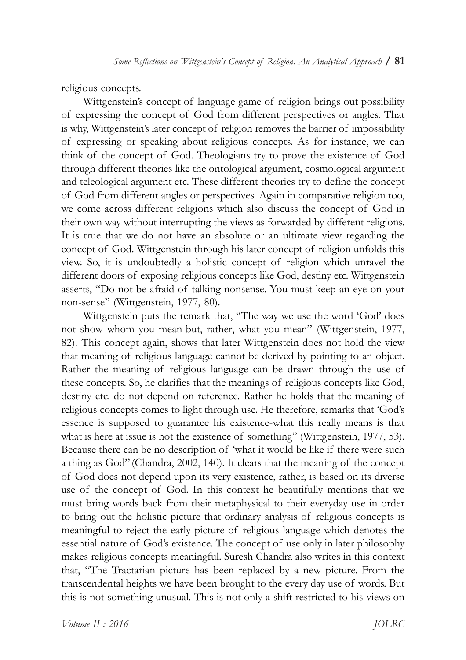religious concepts.

Wittgenstein's concept of language game of religion brings out possibility of expressing the concept of God from different perspectives or angles. That is why, Wittgenstein's later concept of religion removes the barrier of impossibility of expressing or speaking about religious concepts. As for instance, we can think of the concept of God. Theologians try to prove the existence of God. through different theories like the ontological argument, cosmological argument and teleological argument etc. These different theories try to define the concept of God from different angles or perspectives. Again in comparative religion too, we come across different religions which also discuss the concept of God in their own way without interrupting the views as forwarded by different religions. It is true that we do not have an absolute or an ultimate view regarding the concept of God. Wittgenstein through his later concept of religion unfolds this view. So, it is undoubtedly a holistic concept of religion which unravel the different doors of exposing religious concepts like God, destiny etc. Wittgenstein asserts, "Do not be afraid of talking nonsense. You must keep an eye on your non-sense" (Wittgenstein, 1977, 80).

Wittgenstein puts the remark that, "The way we use the word 'God' does not show whom you mean-but, rather, what you mean" (Wittgenstein, 1977, 82). This concept again, shows that later Wittgenstein does not hold the view that meaning of religious language cannot be derived by pointing to an object. Rather the meaning of religious language can be drawn through the use of these concepts. So, he clarifies that the meanings of religious concepts like God, destiny etc. do not depend on reference. Rather he holds that the meaning of religious concepts comes to light through use. He therefore, remarks that 'God's essence is supposed to guarantee his existence-what this really means is that what is here at issue is not the existence of something" (Wittgenstein, 1977, 53). Because there can be no description of 'what it would be like if there were such a thing as God" (Chandra, 2002, 140). It clears that the meaning of the concept of God does not depend upon its very existence, rather, is based on its diverse use of the concept of God. In this context he beautifully mentions that we must bring words back from their metaphysical to their everyday use in order to bring out the holistic picture that ordinary analysis of religious concepts is meaningful to reject the early picture of religious language which denotes the essential nature of God's existence. The concept of use only in later philosophy makes religious concepts meaningful. Suresh Chandra also writes in this context that, "The Tractarian picture has been replaced by a new picture. From the transcendental heights we have been brought to the every day use of words. But this is not something unusual. This is not only a shift restricted to his views on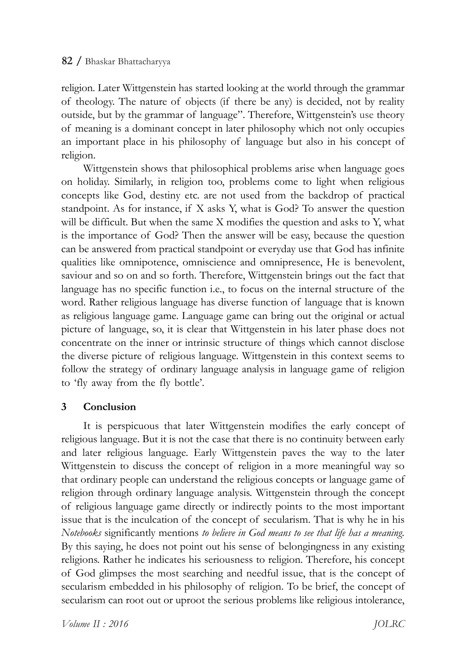## **82†/**†Bhaskar†Bhattacharyya

religion. Later Wittgenstein has started looking at the world through the grammar of theology. The nature of objects (if there be any) is decided, not by reality outside, but by the grammar of language". Therefore, Wittgenstein's use theory of meaning is a dominant concept in later philosophy which not only occupies an important place in his philosophy of language but also in his concept of religion.

Wittgenstein shows that philosophical problems arise when language goes on holiday. Similarly, in religion too, problems come to light when religious concepts like God, destiny etc. are not used from the backdrop of practical standpoint. As for instance, if  $X$  asks  $Y$ , what is God? To answer the question will be difficult. But when the same  $X$  modifies the question and asks to  $Y$ , what is the importance of God? Then the answer will be easy, because the question can be answered from practical standpoint or everyday use that God has infinite qualities like omnipotence, omniscience and omnipresence, He is benevolent, saviour and so on and so forth. Therefore, Wittgenstein brings out the fact that language has no specific function i.e., to focus on the internal structure of the word. Rather religious language has diverse function of language that is known as religious language game. Language game can bring out the original or actual picture of language, so, it is clear that Wittgenstein in his later phase does not concentrate on the inner or intrinsic structure of things which cannot disclose the diverse picture of religious language. Wittgenstein in this context seems to follow the strategy of ordinary language analysis in language game of religion to 'fly away from the fly bottle'.

## **3 Conclusion**

It is perspicuous that later Wittgenstein modifies the early concept of religious language. But it is not the case that there is no continuity between early and later religious language. Early Wittgenstein paves the way to the later Wittgenstein to discuss the concept of religion in a more meaningful way so that ordinary people can understand the religious concepts or language game of religion through ordinary language analysis. Wittgenstein through the concept of religious language game directly or indirectly points to the most important issue that is the inculcation of the concept of secularism. That is why he in his *Notebooks*†significantly†mentions†*to†believe†in†God†means†to†see†that†life†has†a†meaning.* By this saying, he does not point out his sense of belongingness in any existing religions. Rather he indicates his seriousness to religion. Therefore, his concept of God glimpses the most searching and needful issue, that is the concept of secularism embedded in his philosophy of religion. To be brief, the concept of secularism can root out or uproot the serious problems like religious intolerance,